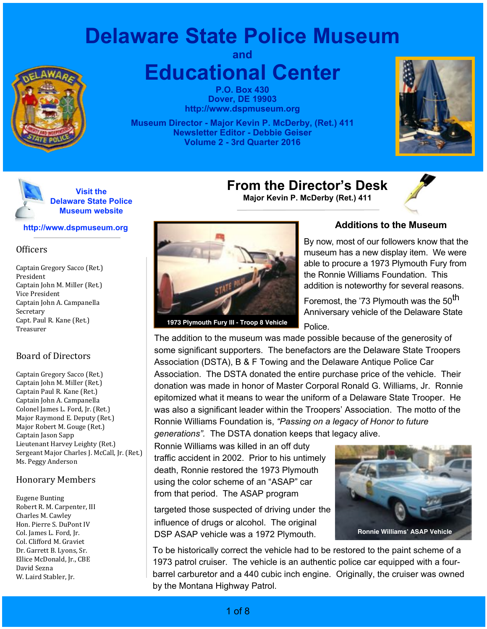# **Delaware State Police Museum**



**and Educational Center**

> **P.O. Box 430 Dover, DE 19903 http://www.dspmuseum.org**

**Museum Director - Major Kevin P. McDerby, (Ret.) 411 Newsletter Editor - Debbie Geiser Volume 2 - 3rd Quarter 2016**





#### **http://www.dspmuseum.org**

#### **Officers**

Captain Gregory Sacco (Ret.) President Captain John M. Miller (Ret.) Vice President Captain John A. Campanella Secretary Capt. Paul R. Kane (Ret.) Treasurer

### Board of Directors

Captain Gregory Sacco (Ret.) Captain John M. Miller (Ret.) Captain Paul R. Kane (Ret.) Captain John A. Campanella Colonel James L. Ford, Jr. (Ret.) Major Raymond E. Deputy (Ret.) Major Robert M. Gouge (Ret.) Captain Jason Sapp Lieutenant Harvey Leighty (Ret.) Sergeant Major Charles J. McCall, Jr. (Ret.) Ms. Peggy Anderson

### Honorary Members

Eugene Bunting Robert R. M. Carpenter, III Charles M. Cawley Hon. Pierre S. DuPont IV Col. James L. Ford, Jr. Col. Clifford M. Graviet Dr. Garrett B. Lyons, Sr. Ellice McDonald, Jr., CBE David Sezna W. Laird Stabler, Jr.



**1973 Plymouth Fury III - Troop 8 Vehicle**

### **Additions to the Museum**

By now, most of our followers know that the museum has a new display item. We were able to procure a 1973 Plymouth Fury from the Ronnie Williams Foundation. This addition is noteworthy for several reasons.

Foremost, the '73 Plymouth was the 50<sup>th</sup> Anniversary vehicle of the Delaware State Police.

The addition to the museum was made possible because of the generosity of some significant supporters. The benefactors are the Delaware State Troopers Association (DSTA), B & F Towing and the Delaware Antique Police Car Association. The DSTA donated the entire purchase price of the vehicle. Their donation was made in honor of Master Corporal Ronald G. Williams, Jr. Ronnie epitomized what it means to wear the uniform of a Delaware State Trooper. He was also a significant leader within the Troopers' Association. The motto of the Ronnie Williams Foundation is, *"Passing on a legacy of Honor to future generations".* The DSTA donation keeps that legacy alive.

**From the Director's Desk Major Kevin P. McDerby (Ret.) 411**

Ronnie Williams was killed in an off duty traffic accident in 2002. Prior to his untimely death, Ronnie restored the 1973 Plymouth using the color scheme of an "ASAP" car from that period. The ASAP program

targeted those suspected of driving under the influence of drugs or alcohol. The original DSP ASAP vehicle was a 1972 Plymouth. **Ronnie Williams' ASAP Vehicle** 



To be historically correct the vehicle had to be restored to the paint scheme of a 1973 patrol cruiser. The vehicle is an authentic police car equipped with a fourbarrel carburetor and a 440 cubic inch engine. Originally, the cruiser was owned by the Montana Highway Patrol.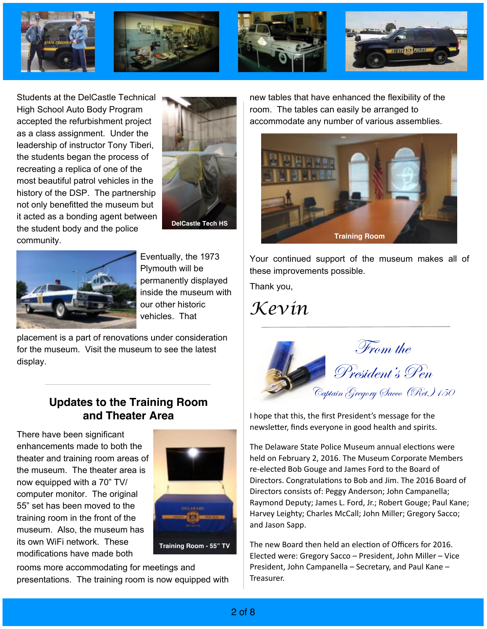

Students at the DelCastle Technical High School Auto Body Program accepted the refurbishment project as a class assignment. Under the leadership of instructor Tony Tiberi, the students began the process of recreating a replica of one of the most beautiful patrol vehicles in the history of the DSP. The partnership not only benefitted the museum but it acted as a bonding agent between the student body and the police community.





Eventually, the 1973 Plymouth will be permanently displayed inside the museum with our other historic vehicles. That

placement is a part of renovations under consideration for the museum. Visit the museum to see the latest display.

### **Updates to the Training Room and Theater Area**

There have been significant enhancements made to both the theater and training room areas of the museum. The theater area is now equipped with a 70" TV/ computer monitor. The original 55" set has been moved to the training room in the front of the museum. Also, the museum has its own WiFi network. These modifications have made both



rooms more accommodating for meetings and presentations. The training room is now equipped with

new tables that have enhanced the flexibility of the room. The tables can easily be arranged to accommodate any number of various assemblies.



Your continued support of the museum makes all of these improvements possible.

Thank you,

*Kevin*



I hope that this, the first President's message for the newsletter, finds everyone in good health and spirits.

The Delaware State Police Museum annual elections were held on February 2, 2016. The Museum Corporate Members re-elected Bob Gouge and James Ford to the Board of Directors. Congratulations to Bob and Jim. The 2016 Board of Directors consists of: Peggy Anderson; John Campanella; Raymond Deputy; James L. Ford, Jr.; Robert Gouge; Paul Kane; Harvey Leighty; Charles McCall; John Miller; Gregory Sacco; and Jason Sapp.

The new Board then held an election of Officers for 2016. Elected were: Gregory Sacco - President, John Miller - Vice President, John Campanella  $-$  Secretary, and Paul Kane  $-$ Treasurer.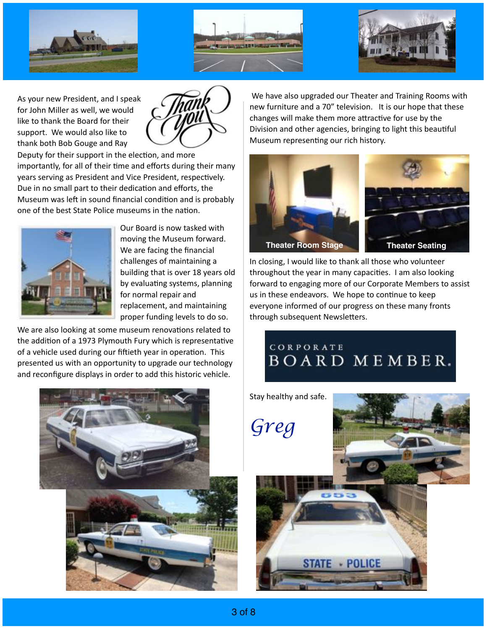





As your new President, and I speak for John Miller as well, we would like to thank the Board for their support. We would also like to thank both Bob Gouge and Ray



Deputy for their support in the election, and more importantly, for all of their time and efforts during their many years serving as President and Vice President, respectively. Due in no small part to their dedication and efforts, the Museum was left in sound financial condition and is probably one of the best State Police museums in the nation.



Our Board is now tasked with moving the Museum forward. We are facing the financial challenges of maintaining a building that is over 18 years old by evaluating systems, planning for normal repair and replacement, and maintaining proper funding levels to do so.

We are also looking at some museum renovations related to the addition of a 1973 Plymouth Fury which is representative of a vehicle used during our fiftieth year in operation. This presented us with an opportunity to upgrade our technology and reconfigure displays in order to add this historic vehicle.

We have also upgraded our Theater and Training Rooms with new furniture and a 70" television. It is our hope that these changes will make them more attractive for use by the Division and other agencies, bringing to light this beautiful Museum representing our rich history.



In closing, I would like to thank all those who volunteer throughout the year in many capacities. I am also looking forward to engaging more of our Corporate Members to assist us in these endeavors. We hope to continue to keep everyone informed of our progress on these many fronts through subsequent Newsletters.

### CORPORATE BOARD MEMBER.



Stay healthy and safe. *Greg*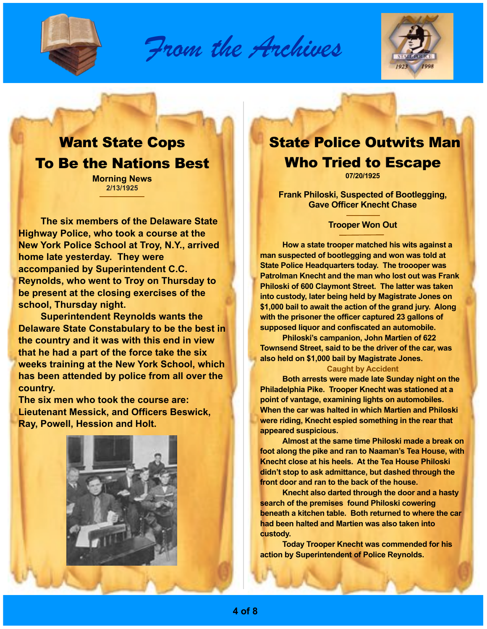

*From the Archives*



# Want State Cops To Be the Nations Best

**Morning News 2/13/1925**

**The six members of the Delaware State Highway Police, who took a course at the New York Police School at Troy, N.Y., arrived home late yesterday. They were accompanied by Superintendent C.C. Reynolds, who went to Troy on Thursday to be present at the closing exercises of the school, Thursday night.**

**Superintendent Reynolds wants the Delaware State Constabulary to be the best in the country and it was with this end in view that he had a part of the force take the six weeks training at the New York School, which has been attended by police from all over the country.** 

**The six men who took the course are: Lieutenant Messick, and Officers Beswick, Ray, Powell, Hession and Holt.** 



### State Police Outwits Man Who Tried to Escape

**07/20/1925**

**Frank Philoski, Suspected of Bootlegging, Gave Officer Knecht Chase**

### **Trooper Won Out**

**How a state trooper matched his wits against a man suspected of bootlegging and won was told at State Police Headquarters today. The troooper was Patrolman Knecht and the man who lost out was Frank Philoski of 600 Claymont Street. The latter was taken into custody, later being held by Magistrate Jones on \$1,000 bail to await the action of the grand jury. Along with the prisoner the officer captured 23 gallons of supposed liquor and confiscated an automobile.**

**Philoski's campanion, John Martien of 622 Townsend Street, said to be the driver of the car, was also held on \$1,000 bail by Magistrate Jones.** 

#### **Caught by Accident**

**Both arrests were made late Sunday night on the Philadelphia Pike. Trooper Knecht was stationed at a point of vantage, examining lights on automobiles. When the car was halted in which Martien and Philoski were riding, Knecht espied something in the rear that appeared suspicious.** 

**Almost at the same time Philoski made a break on foot along the pike and ran to Naaman's Tea House, with Knecht close at his heels. At the Tea House Philoski didn't stop to ask admittance, but dashed through the front door and ran to the back of the house.** 

**Knecht also darted through the door and a hasty search of the premises found Philoski cowering beneath a kitchen table. Both returned to where the car had been halted and Martien was also taken into custody.** 

**Today Trooper Knecht was commended for his action by Superintendent of Police Reynolds.**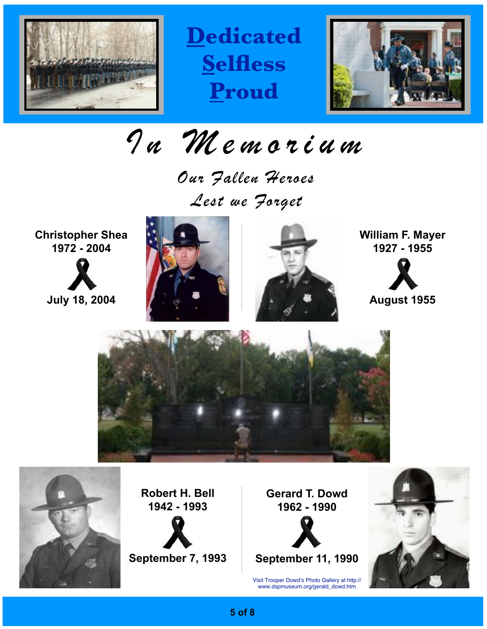

**Dedicated Selfless Proud**



*In Memorium*

*Our Fallen Heroes Lest we Forget*

**Christopher Shea 1972 - 2004**







**William F. Mayer 1927 - 1955**



**August 1955**





**Robert H. Bell 1942 - 1993**



**Gerard T. Dowd 1962 - 1990**

**September 11, 1990**

Visit Trooper Dowd's Photo Gallery at http:// www.dspmuseum.org/gerald\_dowd.htm



**5 of 8**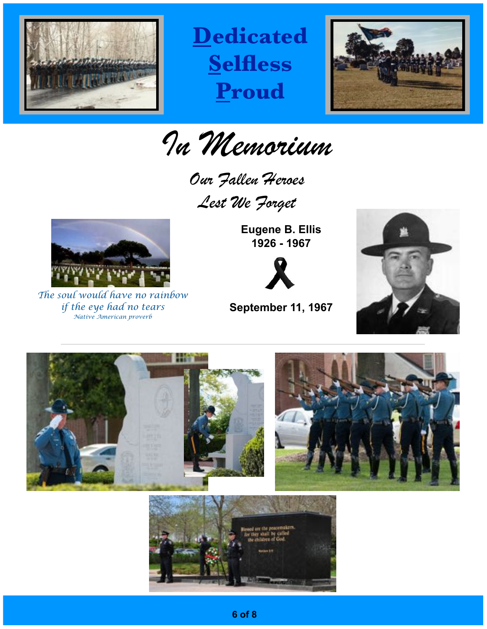

**Dedicated Selfless Proud**



*In Memorium*

*Our Fallen Heroes Lest We Forget*



*The soul would have no rainbow if the eye had no tears Native American proverb*

**Eugene B. Ellis 1926 - 1967**



**September 11, 1967**



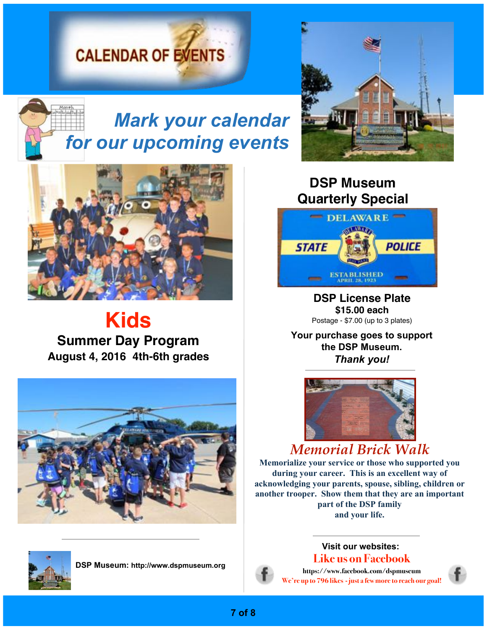# **CALENDAR OF EVENTS**



# *Mark your calendar for our upcoming events*



# **Kids Summer Day Program August 4, 2016 4th-6th grades**





**DSP Museum: http://www.dspmuseum.org**



### **DSP Museum Quarterly Special**



**DSP License Plate \$15.00 each** Postage - \$7.00 (up to 3 plates)

**Your purchase goes to support the DSP Museum.**  *Thank you!*



### *Memorial Brick Walk*

**Memorialize your service or those who supported you during your career. This is an excellent way of acknowledging your parents, spouse, sibling, children or another trooper. Show them that they are an important part of the DSP family and your life.**

### **Visit our websites: Like us on Facebook**